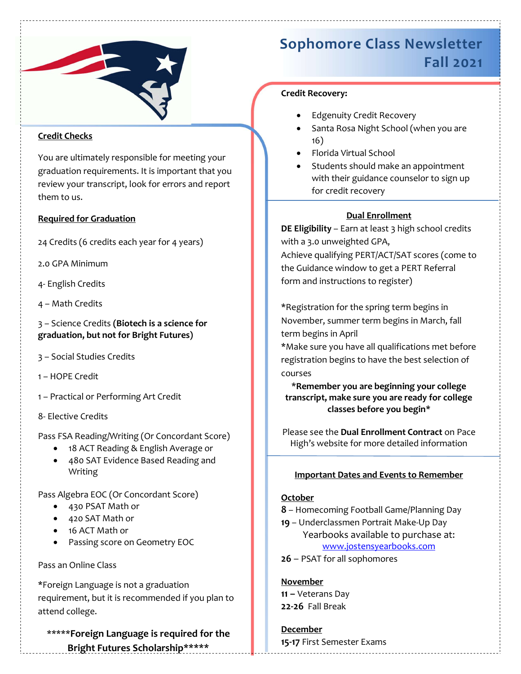

# Credit Checks

You are ultimately responsible for meeting your graduation requirements. It is important that you review your transcript, look for errors and report them to us.

# Required for Graduation

24 Credits (6 credits each year for 4 years)

2.0 GPA Minimum

- 4- English Credits
- 4 Math Credits

3 – Science Credits (Biotech is a science for graduation, but not for Bright Futures)

- 3 Social Studies Credits
- 1 HOPE Credit
- 1 Practical or Performing Art Credit
- 8- Elective Credits

Pass FSA Reading/Writing (Or Concordant Score)

- 18 ACT Reading & English Average or
- 480 SAT Evidence Based Reading and Writing

Pass Algebra EOC (Or Concordant Score)

- 430 PSAT Math or
- 420 SAT Math or
- 16 ACT Math or
- Passing score on Geometry EOC

# Pass an Online Class

\*Foreign Language is not a graduation requirement, but it is recommended if you plan to attend college.

\*\*\*\*\*Foreign Language is required for the Bright Futures Scholarship\*\*\*\*\*

# Sophomore Class Newsletter Fall 2021

# Credit Recovery:

- Edgenuity Credit Recovery
- Santa Rosa Night School (when you are 16)
- Florida Virtual School
- Students should make an appointment with their guidance counselor to sign up for credit recovery

# Dual Enrollment

DE Eligibility - Earn at least 3 high school credits with a 3.0 unweighted GPA, Achieve qualifying PERT/ACT/SAT scores (come to the Guidance window to get a PERT Referral form and instructions to register)

\*Registration for the spring term begins in November, summer term begins in March, fall term begins in April

\*Make sure you have all qualifications met before registration begins to have the best selection of courses

\*Remember you are beginning your college transcript, make sure you are ready for college classes before you begin\*

Please see the Dual Enrollment Contract on Pace High's website for more detailed information

# Important Dates and Events to Remember

# **October**

8 – Homecoming Football Game/Planning Day

19 – Underclassmen Portrait Make-Up Day Yearbooks available to purchase at: www.jostensyearbooks.com

26 – PSAT for all sophomores

November 11 - Veterans Day 22-26 Fall Break

December 15-17 First Semester Exams